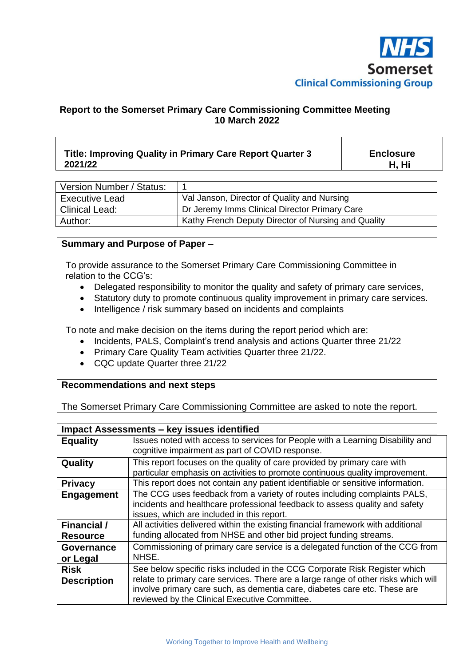

## **Report to the Somerset Primary Care Commissioning Committee Meeting 10 March 2022**

## **Title: Improving Quality in Primary Care Report Quarter 3 2021/22 Enclosure H, Hi**

| Version Number / Status: |                                                     |
|--------------------------|-----------------------------------------------------|
| <b>Executive Lead</b>    | Val Janson, Director of Quality and Nursing         |
| <b>Clinical Lead:</b>    | Dr Jeremy Imms Clinical Director Primary Care       |
| Author:                  | Kathy French Deputy Director of Nursing and Quality |

## **Summary and Purpose of Paper –**

To provide assurance to the Somerset Primary Care Commissioning Committee in relation to the CCG's:

- Delegated responsibility to monitor the quality and safety of primary care services,
- Statutory duty to promote continuous quality improvement in primary care services.
- Intelligence / risk summary based on incidents and complaints

To note and make decision on the items during the report period which are:

- Incidents, PALS, Complaint's trend analysis and actions Quarter three 21/22
- Primary Care Quality Team activities Quarter three 21/22.
- CQC update Quarter three 21/22

## **Recommendations and next steps**

The Somerset Primary Care Commissioning Committee are asked to note the report.

| <b>Impact Assessments - key issues identified</b> |                                                                                                                                                                                                                                                                                                |  |  |
|---------------------------------------------------|------------------------------------------------------------------------------------------------------------------------------------------------------------------------------------------------------------------------------------------------------------------------------------------------|--|--|
| <b>Equality</b>                                   | Issues noted with access to services for People with a Learning Disability and<br>cognitive impairment as part of COVID response.                                                                                                                                                              |  |  |
| Quality                                           | This report focuses on the quality of care provided by primary care with<br>particular emphasis on activities to promote continuous quality improvement.                                                                                                                                       |  |  |
| <b>Privacy</b>                                    | This report does not contain any patient identifiable or sensitive information.                                                                                                                                                                                                                |  |  |
| Engagement                                        | The CCG uses feedback from a variety of routes including complaints PALS,<br>incidents and healthcare professional feedback to assess quality and safety<br>issues, which are included in this report.                                                                                         |  |  |
| <b>Financial</b> /<br><b>Resource</b>             | All activities delivered within the existing financial framework with additional<br>funding allocated from NHSE and other bid project funding streams.                                                                                                                                         |  |  |
| Governance<br>or Legal                            | Commissioning of primary care service is a delegated function of the CCG from<br>NHSE.                                                                                                                                                                                                         |  |  |
| <b>Risk</b><br><b>Description</b>                 | See below specific risks included in the CCG Corporate Risk Register which<br>relate to primary care services. There are a large range of other risks which will<br>involve primary care such, as dementia care, diabetes care etc. These are<br>reviewed by the Clinical Executive Committee. |  |  |